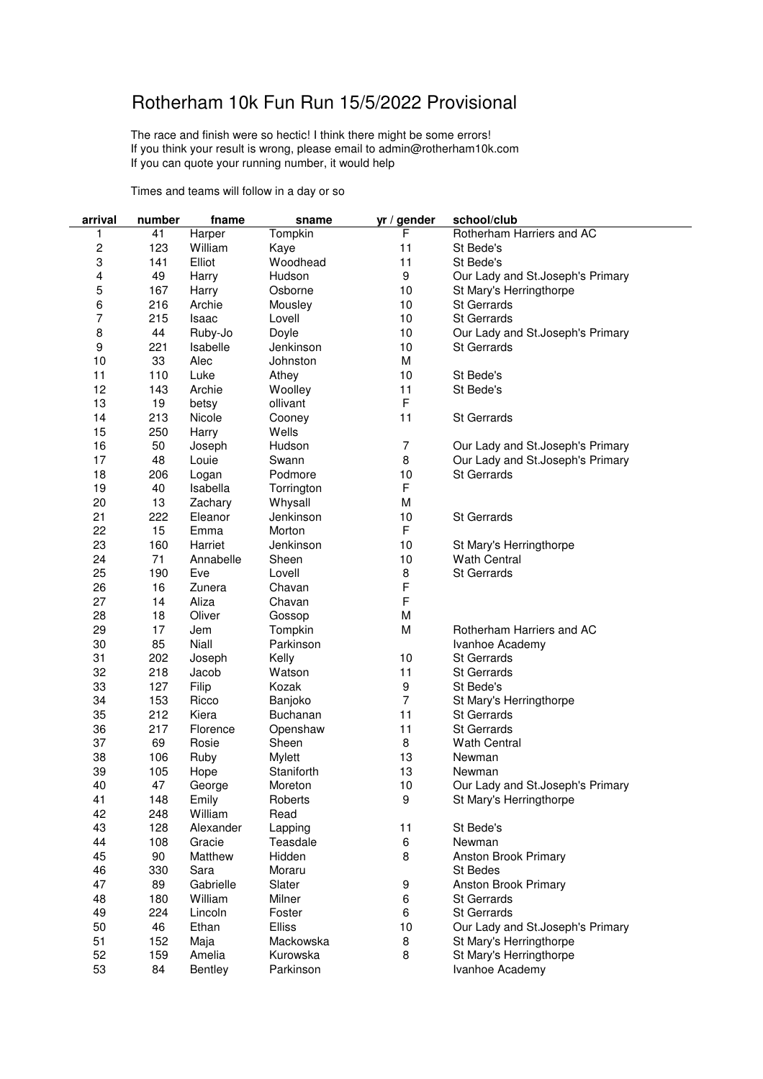## Rotherham 10k Fun Run 15/5/2022 Provisional

The race and finish were so hectic! I think there might be some errors! If you think your result is wrong, please email to admin@rotherham10k.com If you can quote your running number, it would help

Times and teams will follow in a day or so

| arrival  | number     | fname     | sname                | yr / gender    | school/club                      |
|----------|------------|-----------|----------------------|----------------|----------------------------------|
| 1        | 41         | Harper    | Tompkin              | F              | Rotherham Harriers and AC        |
| 2        | 123        | William   | Kaye                 | 11             | St Bede's                        |
| 3        | 141        | Elliot    | Woodhead             | 11             | St Bede's                        |
| 4        | 49         | Harry     | Hudson               | 9              | Our Lady and St.Joseph's Primary |
| 5        | 167        | Harry     | Osborne              | 10             | St Mary's Herringthorpe          |
| 6        | 216        | Archie    | Mousley              | 10             | <b>St Gerrards</b>               |
| 7        | 215        | Isaac     | Lovell               | 10             | <b>St Gerrards</b>               |
| 8        | 44         | Ruby-Jo   | Doyle                | 10             | Our Lady and St.Joseph's Primary |
| 9        | 221        | Isabelle  | Jenkinson            | 10             | <b>St Gerrards</b>               |
| 10       | 33         | Alec      | Johnston             | M              |                                  |
| 11       | 110        | Luke      | Athey                | 10             | St Bede's                        |
| 12       | 143        | Archie    | Woolley              | 11             | St Bede's                        |
| 13       | 19         | betsy     | ollivant             | F              |                                  |
| 14       | 213        | Nicole    | Cooney               | 11             | <b>St Gerrards</b>               |
| 15       | 250        | Harry     | Wells                |                |                                  |
| 16       | 50         | Joseph    | Hudson               | $\overline{7}$ | Our Lady and St.Joseph's Primary |
| 17       | 48         | Louie     | Swann                | 8              | Our Lady and St.Joseph's Primary |
| 18       | 206        | Logan     | Podmore              | 10             | <b>St Gerrards</b>               |
| 19       | 40         | Isabella  | Torrington           | F              |                                  |
| 20       | 13         | Zachary   | Whysall              | M              |                                  |
| 21       | 222        | Eleanor   | Jenkinson            | 10             | <b>St Gerrards</b>               |
| 22       | 15         | Emma      | Morton               | F              |                                  |
| 23       | 160        | Harriet   | Jenkinson            | 10             | St Mary's Herringthorpe          |
| 24       | 71         | Annabelle | Sheen                | 10             | <b>Wath Central</b>              |
| 25       | 190        | Eve       | Lovell               | 8              | <b>St Gerrards</b>               |
| 26       | 16         | Zunera    | Chavan               | F              |                                  |
| 27       | 14         | Aliza     | Chavan               | F              |                                  |
| 28       | 18         | Oliver    | Gossop               | M              |                                  |
| 29       | 17         | Jem       | Tompkin              | M              | Rotherham Harriers and AC        |
| 30       | 85         | Niall     | Parkinson            |                | Ivanhoe Academy                  |
| 31       | 202        | Joseph    | Kelly                | 10             | <b>St Gerrards</b>               |
| 32       | 218        | Jacob     | Watson               | 11             | <b>St Gerrards</b>               |
| 33       | 127        | Filip     | Kozak                | 9              | St Bede's                        |
| 34       | 153        | Ricco     | Banjoko              | 7              | St Mary's Herringthorpe          |
| 35       | 212        | Kiera     | <b>Buchanan</b>      | 11             | <b>St Gerrards</b>               |
| 36       | 217        | Florence  | Openshaw             | 11             | <b>St Gerrards</b>               |
| 37       | 69         | Rosie     | Sheen                | 8              | <b>Wath Central</b>              |
|          |            |           |                      |                |                                  |
| 38<br>39 | 106<br>105 | Ruby      | Mylett<br>Staniforth | 13<br>13       | Newman                           |
|          |            | Hope      |                      |                | Newman                           |
| 40       | 47         | George    | Moreton              | 10             | Our Lady and St.Joseph's Primary |
| 41       | 148        | Emily     | Roberts              | 9              | St Mary's Herringthorpe          |
| 42       | 248        | William   | Read                 |                |                                  |
| 43       | 128        | Alexander | Lapping              | 11             | St Bede's                        |
| 44       | 108        | Gracie    | Teasdale             | $\,6$          | Newman                           |
| 45       | 90         | Matthew   | Hidden               | 8              | Anston Brook Primary             |
| 46       | 330        | Sara      | Moraru               |                | St Bedes                         |
| 47       | 89         | Gabrielle | Slater               | 9              | Anston Brook Primary             |
| 48       | 180        | William   | Milner               | 6              | <b>St Gerrards</b>               |
| 49       | 224        | Lincoln   | Foster               | 6              | <b>St Gerrards</b>               |
| 50       | 46         | Ethan     | Elliss               | 10             | Our Lady and St.Joseph's Primary |
| 51       | 152        | Maja      | Mackowska            | 8              | St Mary's Herringthorpe          |
| 52       | 159        | Amelia    | Kurowska             | 8              | St Mary's Herringthorpe          |
| 53       | 84         | Bentley   | Parkinson            |                | Ivanhoe Academy                  |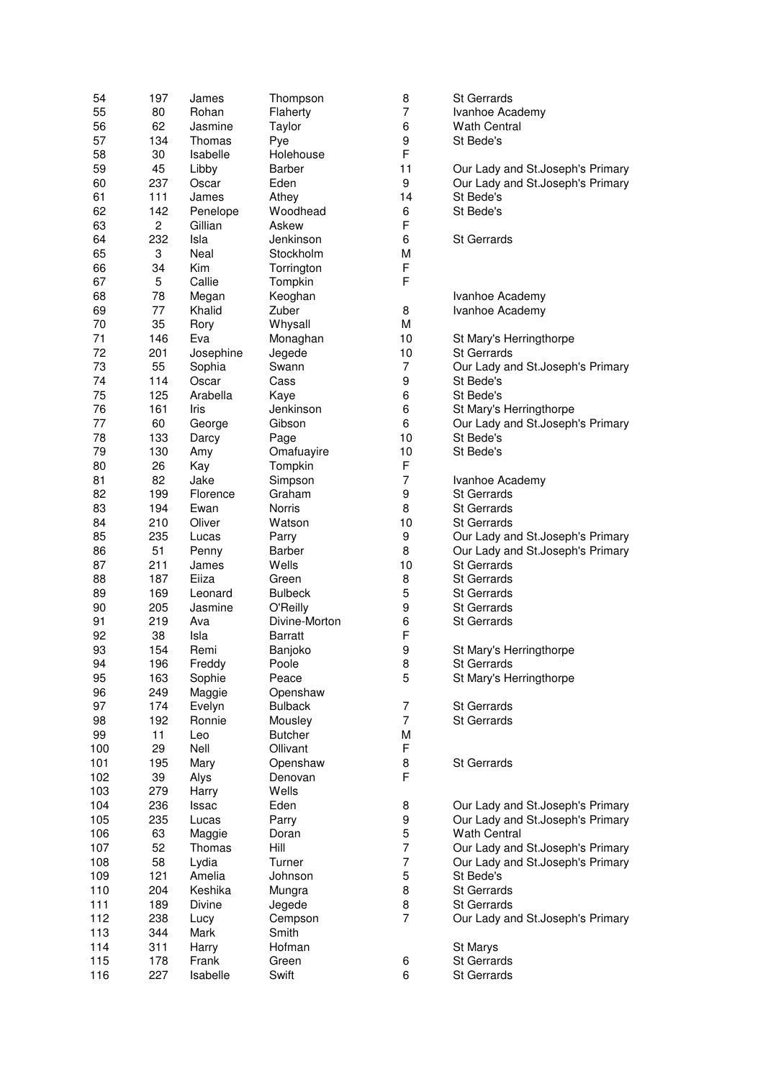| 54  | 197            | James          | Thompson       | 8              | <b>St Gerrards</b>               |
|-----|----------------|----------------|----------------|----------------|----------------------------------|
| 55  | 80             | Rohan          | Flaherty       | 7              | Ivanhoe Academy                  |
| 56  | 62             | Jasmine        | Taylor         | 6              | <b>Wath Central</b>              |
| 57  | 134            | Thomas         | Pye            | 9              | St Bede's                        |
| 58  | 30             | Isabelle       | Holehouse      | F              |                                  |
| 59  | 45             | Libby          | Barber         | 11             | Our Lady and St.Joseph's Primary |
| 60  | 237            | Oscar          | Eden           | 9              | Our Lady and St.Joseph's Primary |
| 61  | 111            | James          | Athey          | 14             | St Bede's                        |
| 62  | 142            | Penelope       | Woodhead       | 6              | St Bede's                        |
| 63  | $\overline{c}$ | Gillian        | Askew          | F              |                                  |
| 64  | 232            | Isla           | Jenkinson      | 6              | <b>St Gerrards</b>               |
| 65  | 3              | Neal           | Stockholm      | M              |                                  |
|     |                |                |                | F              |                                  |
| 66  | 34             | Kim            | Torrington     | F              |                                  |
| 67  | 5              | Callie         | Tompkin        |                |                                  |
| 68  | 78             | Megan          | Keoghan        |                | Ivanhoe Academy                  |
| 69  | 77             | Khalid         | Zuber          | 8              | Ivanhoe Academy                  |
| 70  | 35             | Rory           | Whysall        | М              |                                  |
| 71  | 146            | Eva            | Monaghan       | 10             | St Mary's Herringthorpe          |
| 72  | 201            | Josephine      | Jegede         | 10             | <b>St Gerrards</b>               |
| 73  | 55             | Sophia         | Swann          | 7              | Our Lady and St.Joseph's Primary |
| 74  | 114            | Oscar          | Cass           | 9              | St Bede's                        |
| 75  | 125            | Arabella       | Kaye           | 6              | St Bede's                        |
| 76  | 161            | Iris           | Jenkinson      | 6              | St Mary's Herringthorpe          |
| 77  | 60             | George         | Gibson         | 6              | Our Lady and St.Joseph's Primary |
| 78  | 133            | Darcy          | Page           | 10             | St Bede's                        |
| 79  | 130            | Amy            | Omafuayire     | 10             | St Bede's                        |
| 80  | 26             | Kay            | Tompkin        | F              |                                  |
| 81  | 82             | Jake           | Simpson        | 7              | Ivanhoe Academy                  |
| 82  | 199            | Florence       | Graham         | 9              | <b>St Gerrards</b>               |
| 83  | 194            | Ewan           | Norris         | 8              | <b>St Gerrards</b>               |
| 84  | 210            | Oliver         | Watson         | 10             | <b>St Gerrards</b>               |
| 85  | 235            | Lucas          | Parry          | 9              | Our Lady and St.Joseph's Primary |
| 86  | 51             | Penny          | Barber         | 8              | Our Lady and St.Joseph's Primary |
| 87  | 211            | James          | Wells          | 10             | <b>St Gerrards</b>               |
| 88  | 187            | Eiiza          | Green          | 8              | <b>St Gerrards</b>               |
|     |                |                | <b>Bulbeck</b> | 5              |                                  |
| 89  | 169            | Leonard        |                |                | <b>St Gerrards</b>               |
| 90  | 205            | Jasmine        | O'Reilly       | 9              | <b>St Gerrards</b>               |
| 91  | 219            | Ava            | Divine-Morton  | 6              | <b>St Gerrards</b>               |
| 92  | 38             | Isla           | <b>Barratt</b> | F              |                                  |
| 93  | 154            | Remi           | Banjoko        | 9              | St Mary's Herringthorpe          |
| 94  | 196            | Freddy         | Poole          | 8              | St Gerrards                      |
| 95  | 163            | Sophie         | Peace          | 5              | St Mary's Herringthorpe          |
| 96  | 249            | Maggie         | Openshaw       |                |                                  |
| 97  | 174            | Evelyn         | <b>Bulback</b> | 7              | St Gerrards                      |
| 98  | 192            | Ronnie         | Mousley        | $\overline{7}$ | St Gerrards                      |
| 99  | 11             | Leo            | <b>Butcher</b> | Μ              |                                  |
| 100 | 29             | Nell           | Ollivant       | F              |                                  |
| 101 | 195            | Mary           | Openshaw       | 8              | St Gerrards                      |
| 102 | 39             | Alys           | Denovan        | F              |                                  |
| 103 | 279            | Harry          | Wells          |                |                                  |
| 104 | 236            | Issac          | Eden           | 8              | Our Lady and St.Joseph's Primary |
| 105 | 235            | Lucas          | Parry          | 9              | Our Lady and St.Joseph's Primary |
| 106 | 63             | Maggie         | Doran          | 5              | <b>Wath Central</b>              |
| 107 | 52             | Thomas         | Hill           | 7              | Our Lady and St.Joseph's Primary |
| 108 | 58             | Lydia          | Turner         | 7              | Our Lady and St.Joseph's Primary |
| 109 | 121            | Amelia         | Johnson        | 5              | St Bede's                        |
| 110 | 204            | Keshika        | Mungra         | 8              | St Gerrards                      |
| 111 | 189            | Divine         | Jegede         | 8              | St Gerrards                      |
| 112 | 238            | Lucy           | Cempson        | 7              | Our Lady and St.Joseph's Primary |
| 113 | 344            | Mark           | Smith          |                |                                  |
| 114 | 311            |                | Hofman         |                | St Marys                         |
| 115 | 178            | Harry<br>Frank | Green          | 6              | St Gerrards                      |
|     |                |                |                | 6              |                                  |
| 116 | 227            | Isabelle       | Swift          |                | St Gerrards                      |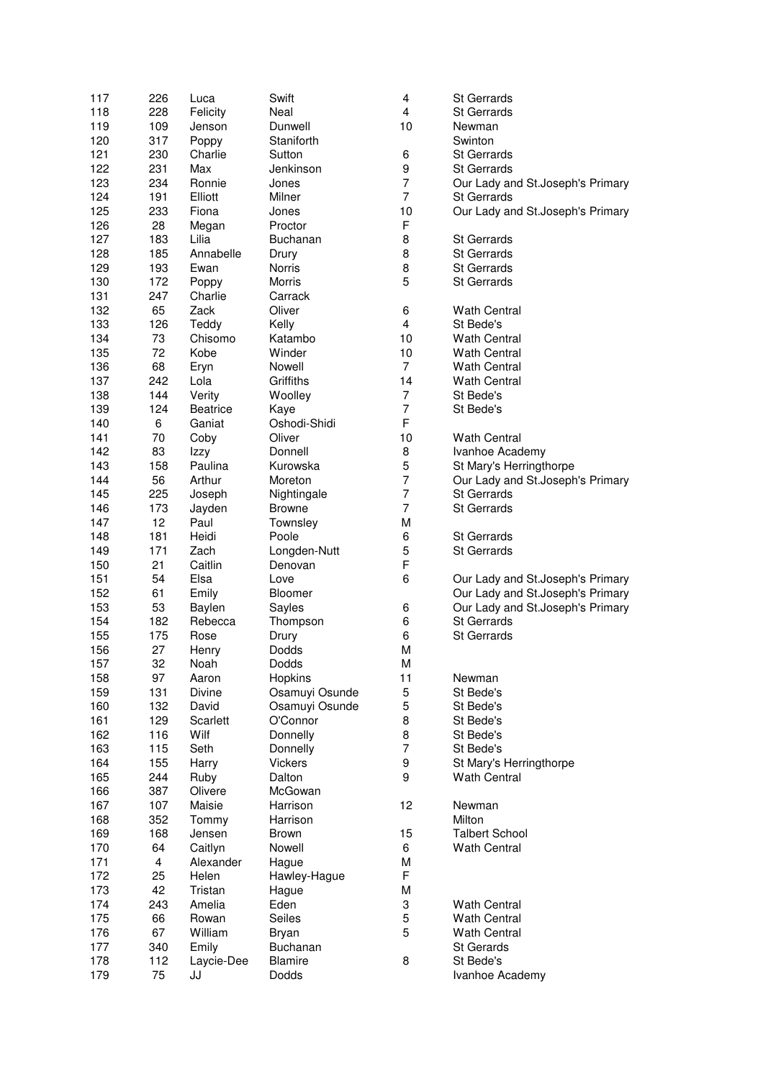| 117 | 226 | Luca            | Swift           | 4                       | St Gerrards                      |
|-----|-----|-----------------|-----------------|-------------------------|----------------------------------|
| 118 | 228 | Felicity        | Neal            | 4                       | <b>St Gerrards</b>               |
| 119 | 109 | Jenson          | Dunwell         | 10                      | Newman                           |
| 120 | 317 | Poppy           | Staniforth      |                         | Swinton                          |
| 121 | 230 | Charlie         | Sutton          | 6                       | <b>St Gerrards</b>               |
| 122 | 231 | Max             | Jenkinson       | 9                       | <b>St Gerrards</b>               |
|     |     |                 | Jones           | $\overline{7}$          |                                  |
| 123 | 234 | Ronnie          |                 |                         | Our Lady and St.Joseph's Primary |
| 124 | 191 | Elliott         | Milner          | $\overline{7}$          | <b>St Gerrards</b>               |
| 125 | 233 | Fiona           | Jones           | 10                      | Our Lady and St.Joseph's Primary |
| 126 | 28  | Megan           | Proctor         | F                       |                                  |
| 127 | 183 | Lilia           | <b>Buchanan</b> | 8                       | <b>St Gerrards</b>               |
| 128 | 185 | Annabelle       | Drury           | 8                       | <b>St Gerrards</b>               |
| 129 | 193 | Ewan            | Norris          | 8                       | <b>St Gerrards</b>               |
| 130 | 172 | Poppy           | Morris          | 5                       | <b>St Gerrards</b>               |
| 131 | 247 | Charlie         | Carrack         |                         |                                  |
| 132 | 65  | Zack            | Oliver          | 6                       | <b>Wath Central</b>              |
| 133 | 126 | Teddy           | Kelly           | $\overline{\mathbf{4}}$ | St Bede's                        |
| 134 | 73  | Chisomo         | Katambo         | 10                      | <b>Wath Central</b>              |
|     |     |                 |                 |                         |                                  |
| 135 | 72  | Kobe            | Winder          | 10                      | <b>Wath Central</b>              |
| 136 | 68  | Eryn            | Nowell          | $\overline{7}$          | <b>Wath Central</b>              |
| 137 | 242 | Lola            | Griffiths       | 14                      | <b>Wath Central</b>              |
| 138 | 144 | Verity          | Woolley         | 7                       | St Bede's                        |
| 139 | 124 | <b>Beatrice</b> | Kaye            | 7                       | St Bede's                        |
| 140 | 6   | Ganiat          | Oshodi-Shidi    | F                       |                                  |
| 141 | 70  | Coby            | Oliver          | 10                      | <b>Wath Central</b>              |
| 142 | 83  | Izzy            | Donnell         | 8                       | Ivanhoe Academy                  |
| 143 | 158 | Paulina         | Kurowska        | 5                       | St Mary's Herringthorpe          |
| 144 | 56  | Arthur          | Moreton         | $\overline{7}$          | Our Lady and St.Joseph's Primary |
|     |     |                 |                 | 7                       | <b>St Gerrards</b>               |
| 145 | 225 | Joseph          | Nightingale     |                         |                                  |
| 146 | 173 | Jayden          | <b>Browne</b>   | 7                       | <b>St Gerrards</b>               |
| 147 | 12  | Paul            | Townsley        | M                       |                                  |
| 148 | 181 | Heidi           | Poole           | 6                       | <b>St Gerrards</b>               |
| 149 | 171 | Zach            | Longden-Nutt    | 5                       | <b>St Gerrards</b>               |
| 150 | 21  | Caitlin         | Denovan         | F                       |                                  |
| 151 | 54  | Elsa            | Love            | 6                       | Our Lady and St.Joseph's Primary |
| 152 | 61  | Emily           | Bloomer         |                         | Our Lady and St.Joseph's Primary |
| 153 | 53  | Baylen          | Sayles          | 6                       | Our Lady and St.Joseph's Primary |
| 154 | 182 | Rebecca         | Thompson        | 6                       | <b>St Gerrards</b>               |
| 155 | 175 | Rose            | Drury           | 6                       | <b>St Gerrards</b>               |
| 156 | 27  | Henry           | <b>Dodds</b>    | M                       |                                  |
| 157 | 32  | Noah            | Dodds           | M                       |                                  |
| 158 | 97  | Aaron           | Hopkins         | 11                      | Newman                           |
|     |     |                 |                 | 5                       |                                  |
| 159 | 131 | Divine          | Osamuyi Osunde  |                         | St Bede's                        |
| 160 | 132 | David           | Osamuyi Osunde  | 5                       | St Bede's                        |
| 161 | 129 | Scarlett        | O'Connor        | 8                       | St Bede's                        |
| 162 | 116 | Wilf            | Donnelly        | 8                       | St Bede's                        |
| 163 | 115 | Seth            | Donnelly        | 7                       | St Bede's                        |
| 164 | 155 | Harry           | Vickers         | 9                       | St Mary's Herringthorpe          |
| 165 | 244 | Ruby            | Dalton          | 9                       | <b>Wath Central</b>              |
| 166 | 387 | Olivere         | McGowan         |                         |                                  |
| 167 | 107 | Maisie          | Harrison        | 12                      | Newman                           |
| 168 | 352 | Tommy           | Harrison        |                         | Milton                           |
| 169 | 168 | Jensen          | <b>Brown</b>    | 15                      | <b>Talbert School</b>            |
| 170 | 64  | Caitlyn         | Nowell          | 6                       | <b>Wath Central</b>              |
| 171 |     | Alexander       |                 | M                       |                                  |
|     | 4   |                 | Hague           |                         |                                  |
| 172 | 25  | Helen           | Hawley-Hague    | F                       |                                  |
| 173 | 42  | Tristan         | Hague           | M                       |                                  |
| 174 | 243 | Amelia          | Eden            | 3                       | <b>Wath Central</b>              |
| 175 | 66  | Rowan           | Seiles          | 5                       | <b>Wath Central</b>              |
| 176 | 67  | William         | Bryan           | 5                       | <b>Wath Central</b>              |
| 177 | 340 | Emily           | Buchanan        |                         | St Gerards                       |
| 178 | 112 | Laycie-Dee      | Blamire         | 8                       | St Bede's                        |
| 179 | 75  | JJ              | Dodds           |                         | Ivanhoe Academy                  |